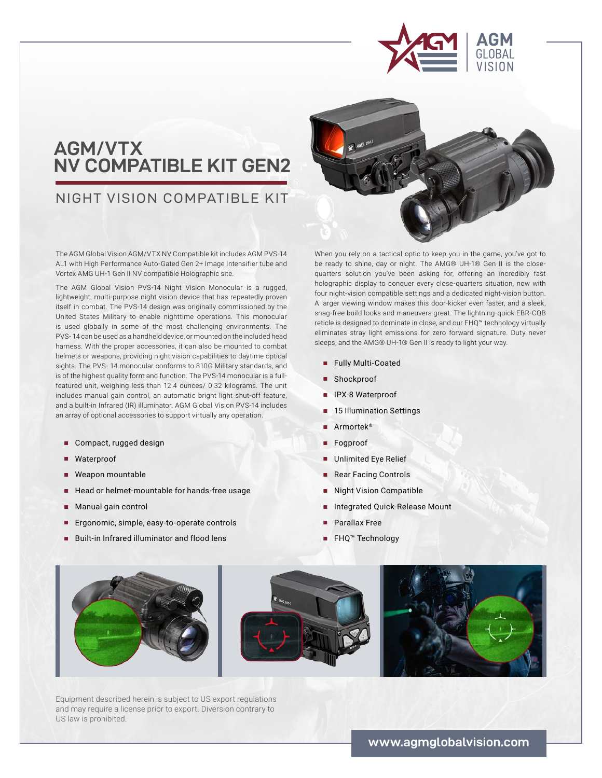

# **AGM/VTX NV COMPATIBLE KIT GEN2**

## NIGHT VISION COMPATIBLE KIT

The AGM Global Vision AGM/VTX NV Compatible kit includes AGM PVS-14 AL1 with High Performance Auto-Gated Gen 2+ Image Intensifier tube and Vortex AMG UH-1 Gen II NV compatible Holographic site.

The AGM Global Vision PVS-14 Night Vision Monocular is a rugged, lightweight, multi-purpose night vision device that has repeatedly proven itself in combat. The PVS-14 design was originally commissioned by the United States Military to enable nighttime operations. This monocular is used globally in some of the most challenging environments. The PVS- 14 can be used as a handheld device, or mounted on the included head harness. With the proper accessories, it can also be mounted to combat helmets or weapons, providing night vision capabilities to daytime optical sights. The PVS- 14 monocular conforms to 810G Military standards, and is of the highest quality form and function. The PVS-14 monocular is a fullfeatured unit, weighing less than 12.4 ounces/ 0.32 kilograms. The unit includes manual gain control, an automatic bright light shut-off feature, and a built-in Infrared (IR) illuminator. AGM Global Vision PVS-14 includes an array of optional accessories to support virtually any operation.

- **■** Compact, rugged design
- **■** Waterproof
- **■** Weapon mountable
- Head or helmet-mountable for hands-free usage
- **■** Manual gain control
- Ergonomic, simple, easy-to-operate controls
- Built-in Infrared illuminator and flood lens



When you rely on a tactical optic to keep you in the game, you've got to be ready to shine, day or night. The AMG® UH-1® Gen II is the closequarters solution you've been asking for, offering an incredibly fast holographic display to conquer every close-quarters situation, now with four night-vision compatible settings and a dedicated night-vision button. A larger viewing window makes this door-kicker even faster, and a sleek, snag-free build looks and maneuvers great. The lightning-quick EBR-CQB reticle is designed to dominate in close, and our FHQ™ technology virtually eliminates stray light emissions for zero forward signature. Duty never sleeps, and the AMG® UH-1® Gen II is ready to light your way.

- **■** Fully Multi-Coated
- Shockproof
- **■** IPX-8 Waterproof
- **■** 15 Illumination Settings
- **■** Armortek®
- **■** Fogproof
- **■** Unlimited Eye Relief
- Rear Facing Controls
- **■** Night Vision Compatible
- **■** Integrated Quick-Release Mount
- Parallax Free
- **■** FHQ™ Technology



Equipment described herein is subject to US export regulations and may require a license prior to export. Diversion contrary to US law is prohibited.

**www.agmglobalvision.com**